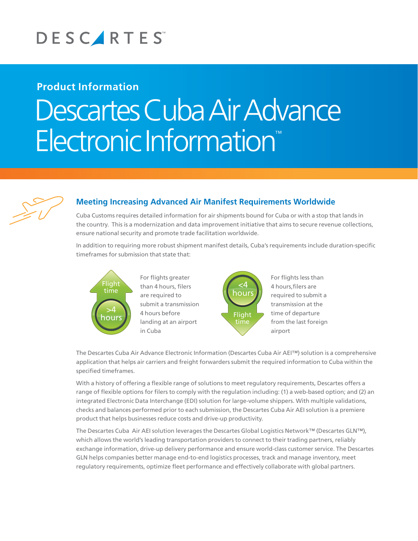

## **Product Information**

# Descartes Cuba Air Advance Electronic Information



## **Meeting Increasing Advanced Air Manifest Requirements Worldwide**

Cuba Customs requires detailed information for air shipments bound for Cuba or with a stop that lands in the country. This is a modernization and data improvement initiative that aims to secure revenue collections, ensure national security and promote trade facilitation worldwide.

In addition to requiring more robust shipment manifest details, Cuba's requirements include duration-specific timeframes for submission that state that:



 $\begin{bmatrix} 1 & 4 & \text{hours before} \\ \text{hours} & \text{landing at an air} \end{bmatrix}$ landing at an airport than 4 hours, filers are required to For flights greater submit a transmission<br>4 hours before in Cuba time



For flights less than 4 hours,filers are required to submit a transmission at the time of departure from the last foreign airport

The Descartes Cuba Air Advance Electronic Information (Descartes Cuba Air AEI™) solution is a comprehensive application that helps air carriers and freight forwarders submit the required information to Cuba within the specified timeframes.

With a history of offering a flexible range of solutions to meet regulatory requirements, Descartes offers a range of flexible options for filers to comply with the regulation including: (1) a web-based option; and (2) an integrated Electronic Data Interchange (EDI) solution for large-volume shippers. With multiple validations, checks and balances performed prior to each submission, the Descartes Cuba Air AEI solution is a premiere product that helps businesses reduce costs and drive-up productivity.

The Descartes Cuba Air AEI solution leverages the Descartes Global Logistics Network™ (Descartes GLN™), which allows the world's leading transportation providers to connect to their trading partners, reliably exchange information, drive-up delivery performance and ensure world-class customer service. The Descartes GLN helps companies better manage end-to-end logistics processes, track and manage inventory, meet regulatory requirements, optimize fleet performance and effectively collaborate with global partners.